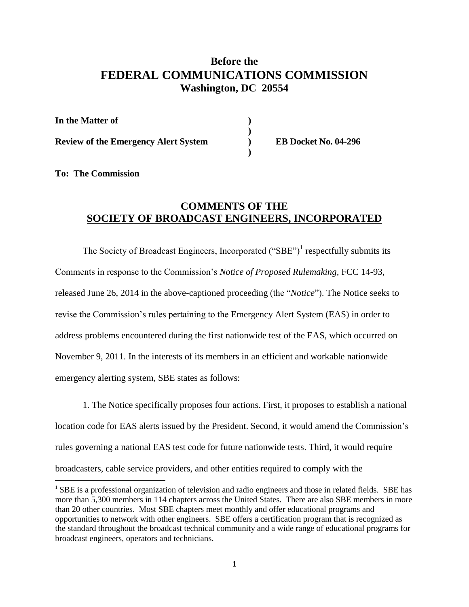## **Before the FEDERAL COMMUNICATIONS COMMISSION Washington, DC 20554**

| In the Matter of                            |  |
|---------------------------------------------|--|
| <b>Review of the Emergency Alert System</b> |  |
|                                             |  |

**Review of the Emergency Alert System ) EB Docket No. 04-296**

## **To: The Commission**

l

## **COMMENTS OF THE SOCIETY OF BROADCAST ENGINEERS, INCORPORATED**

The Society of Broadcast Engineers, Incorporated  $("SBE")<sup>1</sup>$  respectfully submits its Comments in response to the Commission's *Notice of Proposed Rulemaking,* FCC 14-93, released June 26, 2014 in the above-captioned proceeding (the "*Notice*"). The Notice seeks to revise the Commission's rules pertaining to the Emergency Alert System (EAS) in order to address problems encountered during the first nationwide test of the EAS, which occurred on November 9, 2011. In the interests of its members in an efficient and workable nationwide emergency alerting system, SBE states as follows:

1. The Notice specifically proposes four actions. First, it proposes to establish a national location code for EAS alerts issued by the President. Second, it would amend the Commission's rules governing a national EAS test code for future nationwide tests. Third, it would require broadcasters, cable service providers, and other entities required to comply with the

<sup>&</sup>lt;sup>1</sup> SBE is a professional organization of television and radio engineers and those in related fields. SBE has more than 5,300 members in 114 chapters across the United States. There are also SBE members in more than 20 other countries. Most SBE chapters meet monthly and offer educational programs and opportunities to network with other engineers. SBE offers a certification program that is recognized as the standard throughout the broadcast technical community and a wide range of educational programs for broadcast engineers, operators and technicians.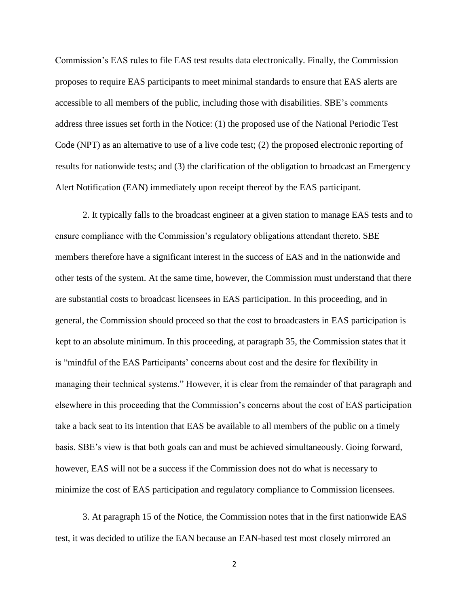Commission's EAS rules to file EAS test results data electronically. Finally, the Commission proposes to require EAS participants to meet minimal standards to ensure that EAS alerts are accessible to all members of the public, including those with disabilities. SBE's comments address three issues set forth in the Notice: (1) the proposed use of the National Periodic Test Code (NPT) as an alternative to use of a live code test; (2) the proposed electronic reporting of results for nationwide tests; and (3) the clarification of the obligation to broadcast an Emergency Alert Notification (EAN) immediately upon receipt thereof by the EAS participant.

2. It typically falls to the broadcast engineer at a given station to manage EAS tests and to ensure compliance with the Commission's regulatory obligations attendant thereto. SBE members therefore have a significant interest in the success of EAS and in the nationwide and other tests of the system. At the same time, however, the Commission must understand that there are substantial costs to broadcast licensees in EAS participation. In this proceeding, and in general, the Commission should proceed so that the cost to broadcasters in EAS participation is kept to an absolute minimum. In this proceeding, at paragraph 35, the Commission states that it is "mindful of the EAS Participants' concerns about cost and the desire for flexibility in managing their technical systems." However, it is clear from the remainder of that paragraph and elsewhere in this proceeding that the Commission's concerns about the cost of EAS participation take a back seat to its intention that EAS be available to all members of the public on a timely basis. SBE's view is that both goals can and must be achieved simultaneously. Going forward, however, EAS will not be a success if the Commission does not do what is necessary to minimize the cost of EAS participation and regulatory compliance to Commission licensees.

3. At paragraph 15 of the Notice, the Commission notes that in the first nationwide EAS test, it was decided to utilize the EAN because an EAN-based test most closely mirrored an

2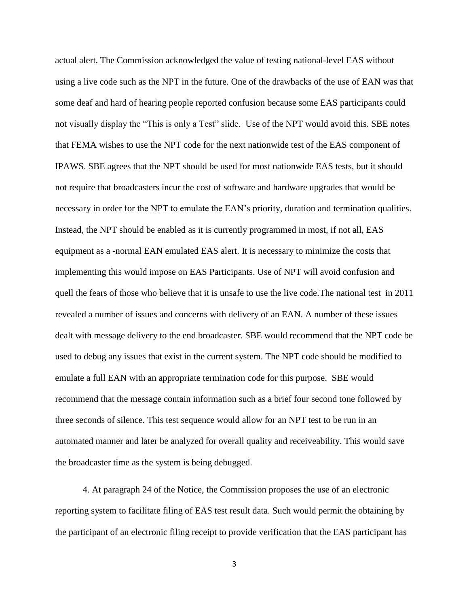actual alert. The Commission acknowledged the value of testing national-level EAS without using a live code such as the NPT in the future. One of the drawbacks of the use of EAN was that some deaf and hard of hearing people reported confusion because some EAS participants could not visually display the "This is only a Test" slide. Use of the NPT would avoid this. SBE notes that FEMA wishes to use the NPT code for the next nationwide test of the EAS component of IPAWS. SBE agrees that the NPT should be used for most nationwide EAS tests, but it should not require that broadcasters incur the cost of software and hardware upgrades that would be necessary in order for the NPT to emulate the EAN's priority, duration and termination qualities. Instead, the NPT should be enabled as it is currently programmed in most, if not all, EAS equipment as a -normal EAN emulated EAS alert. It is necessary to minimize the costs that implementing this would impose on EAS Participants. Use of NPT will avoid confusion and quell the fears of those who believe that it is unsafe to use the live code.The national test in 2011 revealed a number of issues and concerns with delivery of an EAN. A number of these issues dealt with message delivery to the end broadcaster. SBE would recommend that the NPT code be used to debug any issues that exist in the current system. The NPT code should be modified to emulate a full EAN with an appropriate termination code for this purpose. SBE would recommend that the message contain information such as a brief four second tone followed by three seconds of silence. This test sequence would allow for an NPT test to be run in an automated manner and later be analyzed for overall quality and receiveability. This would save the broadcaster time as the system is being debugged.

4. At paragraph 24 of the Notice, the Commission proposes the use of an electronic reporting system to facilitate filing of EAS test result data. Such would permit the obtaining by the participant of an electronic filing receipt to provide verification that the EAS participant has

3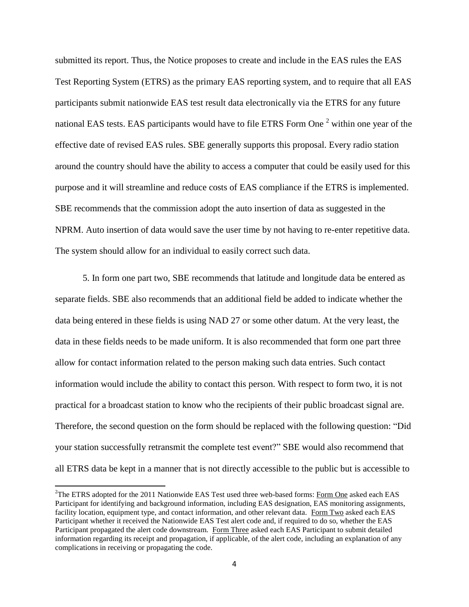submitted its report. Thus, the Notice proposes to create and include in the EAS rules the EAS Test Reporting System (ETRS) as the primary EAS reporting system, and to require that all EAS participants submit nationwide EAS test result data electronically via the ETRS for any future national EAS tests. EAS participants would have to file ETRS Form One <sup>2</sup> within one year of the effective date of revised EAS rules. SBE generally supports this proposal. Every radio station around the country should have the ability to access a computer that could be easily used for this purpose and it will streamline and reduce costs of EAS compliance if the ETRS is implemented. SBE recommends that the commission adopt the auto insertion of data as suggested in the NPRM. Auto insertion of data would save the user time by not having to re-enter repetitive data. The system should allow for an individual to easily correct such data.

5. In form one part two, SBE recommends that latitude and longitude data be entered as separate fields. SBE also recommends that an additional field be added to indicate whether the data being entered in these fields is using NAD 27 or some other datum. At the very least, the data in these fields needs to be made uniform. It is also recommended that form one part three allow for contact information related to the person making such data entries. Such contact information would include the ability to contact this person. With respect to form two, it is not practical for a broadcast station to know who the recipients of their public broadcast signal are. Therefore, the second question on the form should be replaced with the following question: "Did your station successfully retransmit the complete test event?" SBE would also recommend that all ETRS data be kept in a manner that is not directly accessible to the public but is accessible to

 $\overline{\phantom{a}}$ 

<sup>&</sup>lt;sup>2</sup>The ETRS adopted for the 2011 Nationwide EAS Test used three web-based forms: Form One asked each EAS Participant for identifying and background information, including EAS designation, EAS monitoring assignments, facility location, equipment type, and contact information, and other relevant data. Form Two asked each EAS Participant whether it received the Nationwide EAS Test alert code and, if required to do so, whether the EAS Participant propagated the alert code downstream. Form Three asked each EAS Participant to submit detailed information regarding its receipt and propagation, if applicable, of the alert code, including an explanation of any complications in receiving or propagating the code.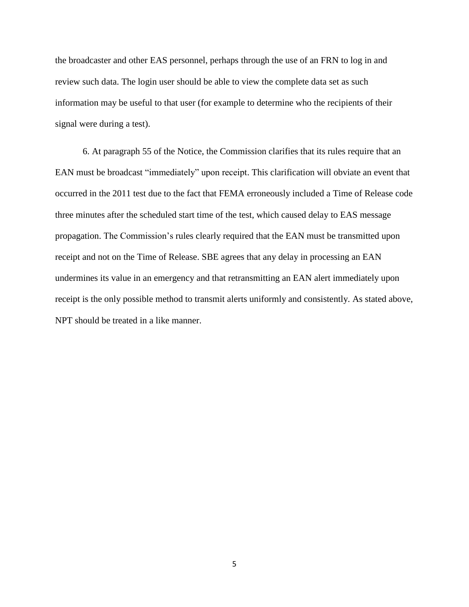the broadcaster and other EAS personnel, perhaps through the use of an FRN to log in and review such data. The login user should be able to view the complete data set as such information may be useful to that user (for example to determine who the recipients of their signal were during a test).

6. At paragraph 55 of the Notice, the Commission clarifies that its rules require that an EAN must be broadcast "immediately" upon receipt. This clarification will obviate an event that occurred in the 2011 test due to the fact that FEMA erroneously included a Time of Release code three minutes after the scheduled start time of the test, which caused delay to EAS message propagation. The Commission's rules clearly required that the EAN must be transmitted upon receipt and not on the Time of Release. SBE agrees that any delay in processing an EAN undermines its value in an emergency and that retransmitting an EAN alert immediately upon receipt is the only possible method to transmit alerts uniformly and consistently. As stated above, NPT should be treated in a like manner.